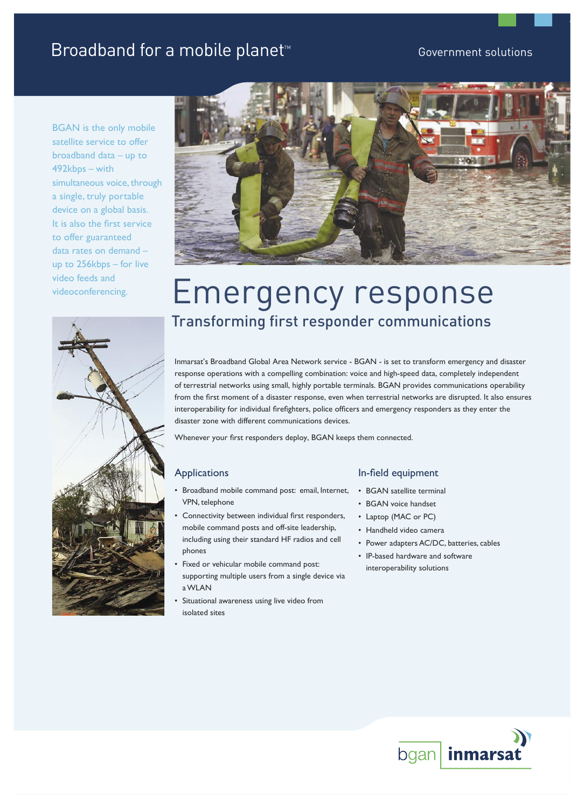## Broadband for a mobile planet<sup>™</sup> and the solutions of the Government solutions

BGAN is the only mobile satellite service to offer broadband data – up to 492kbps – with simultaneous voice, through a single, truly portable device on a global basis. It is also the first service to offer guaranteed data rates on demand – up to 256kbps – for live video feeds and videoconferencing.



# Emergency response Transforming first responder communications

Inmarsat's Broadband Global Area Network service - BGAN - is set to transform emergency and disaster response operations with a compelling combination: voice and high-speed data, completely independent of terrestrial networks using small, highly portable terminals. BGAN provides communications operability from the first moment of a disaster response, even when terrestrial networks are disrupted. It also ensures interoperability for individual firefighters, police officers and emergency responders as they enter the disaster zone with different communications devices.

Whenever your first responders deploy, BGAN keeps them connected.

### Applications

- Broadband mobile command post: email, Internet, VPN, telephone
- Connectivity between individual first responders, mobile command posts and off-site leadership, including using their standard HF radios and cell phones
- Fixed or vehicular mobile command post: supporting multiple users from a single device via a WLAN
- Situational awareness using live video from isolated sites •

#### In-field equipment

- BGAN satellite terminal
- BGAN voice handset
- Laptop (MAC or PC)
- Handheld video camera
- Power adapters AC/DC, batteries, cables
- IP-based hardware and software interoperability solutions